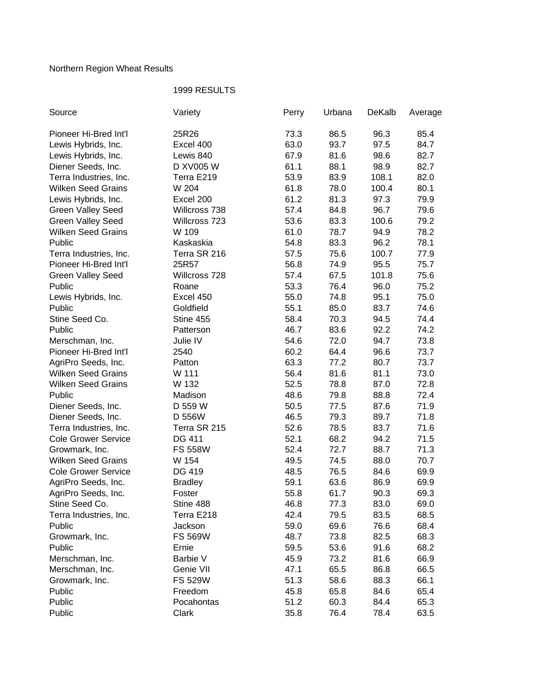## Northern Region Wheat Results

## 1999 RESULTS

| Source                     | Variety        | Perry | Urbana | DeKalb | Average |
|----------------------------|----------------|-------|--------|--------|---------|
| Pioneer Hi-Bred Int'l      | 25R26          | 73.3  | 86.5   | 96.3   | 85.4    |
| Lewis Hybrids, Inc.        | Excel 400      | 63.0  | 93.7   | 97.5   | 84.7    |
| Lewis Hybrids, Inc.        | Lewis 840      | 67.9  | 81.6   | 98.6   | 82.7    |
| Diener Seeds, Inc.         | D XV005 W      | 61.1  | 88.1   | 98.9   | 82.7    |
| Terra Industries, Inc.     | Terra E219     | 53.9  | 83.9   | 108.1  | 82.0    |
| <b>Wilken Seed Grains</b>  | W 204          | 61.8  | 78.0   | 100.4  | 80.1    |
| Lewis Hybrids, Inc.        | Excel 200      | 61.2  | 81.3   | 97.3   | 79.9    |
| <b>Green Valley Seed</b>   | Willcross 738  | 57.4  | 84.8   | 96.7   | 79.6    |
| <b>Green Valley Seed</b>   | Willcross 723  | 53.6  | 83.3   | 100.6  | 79.2    |
| <b>Wilken Seed Grains</b>  | W 109          | 61.0  | 78.7   | 94.9   | 78.2    |
| Public                     | Kaskaskia      | 54.8  | 83.3   | 96.2   | 78.1    |
| Terra Industries, Inc.     | Terra SR 216   | 57.5  | 75.6   | 100.7  | 77.9    |
| Pioneer Hi-Bred Int'l      | 25R57          | 56.8  | 74.9   | 95.5   | 75.7    |
| <b>Green Valley Seed</b>   | Willcross 728  | 57.4  | 67.5   | 101.8  | 75.6    |
| Public                     | Roane          | 53.3  | 76.4   | 96.0   | 75.2    |
| Lewis Hybrids, Inc.        | Excel 450      | 55.0  | 74.8   | 95.1   | 75.0    |
| Public                     | Goldfield      | 55.1  | 85.0   | 83.7   | 74.6    |
| Stine Seed Co.             | Stine 455      | 58.4  | 70.3   | 94.5   | 74.4    |
| Public                     | Patterson      | 46.7  | 83.6   | 92.2   | 74.2    |
| Merschman, Inc.            | Julie IV       | 54.6  | 72.0   | 94.7   | 73.8    |
| Pioneer Hi-Bred Int'l      | 2540           | 60.2  | 64.4   | 96.6   | 73.7    |
| AgriPro Seeds, Inc.        | Patton         | 63.3  | 77.2   | 80.7   | 73.7    |
| <b>Wilken Seed Grains</b>  | W 111          | 56.4  | 81.6   | 81.1   | 73.0    |
| <b>Wilken Seed Grains</b>  | W 132          | 52.5  | 78.8   | 87.0   | 72.8    |
| Public                     | Madison        | 48.6  | 79.8   | 88.8   | 72.4    |
| Diener Seeds, Inc.         | D 559 W        | 50.5  | 77.5   | 87.6   | 71.9    |
| Diener Seeds, Inc.         | D 556W         | 46.5  | 79.3   | 89.7   | 71.8    |
| Terra Industries, Inc.     | Terra SR 215   | 52.6  | 78.5   | 83.7   | 71.6    |
| <b>Cole Grower Service</b> | DG 411         | 52.1  | 68.2   | 94.2   | 71.5    |
| Growmark, Inc.             | <b>FS 558W</b> | 52.4  | 72.7   | 88.7   | 71.3    |
| <b>Wilken Seed Grains</b>  | W 154          | 49.5  | 74.5   | 88.0   | 70.7    |
| <b>Cole Grower Service</b> | DG 419         | 48.5  | 76.5   | 84.6   | 69.9    |
| AgriPro Seeds, Inc.        | <b>Bradley</b> | 59.1  | 63.6   | 86.9   | 69.9    |
| AgriPro Seeds, Inc.        | Foster         | 55.8  | 61.7   | 90.3   | 69.3    |
| Stine Seed Co.             | Stine 488      | 46.8  | 77.3   | 83.0   | 69.0    |
| Terra Industries, Inc.     | Terra E218     | 42.4  | 79.5   | 83.5   | 68.5    |
| Public                     | Jackson        | 59.0  | 69.6   | 76.6   | 68.4    |
| Growmark, Inc.             | <b>FS 569W</b> | 48.7  | 73.8   | 82.5   | 68.3    |
| Public                     | Ernie          | 59.5  | 53.6   | 91.6   | 68.2    |
| Merschman, Inc.            | Barbie V       | 45.9  | 73.2   | 81.6   | 66.9    |
| Merschman, Inc.            | Genie VII      | 47.1  | 65.5   | 86.8   | 66.5    |
| Growmark, Inc.             | <b>FS 529W</b> | 51.3  | 58.6   | 88.3   | 66.1    |
| Public                     | Freedom        | 45.8  | 65.8   | 84.6   | 65.4    |
| Public                     | Pocahontas     | 51.2  | 60.3   | 84.4   | 65.3    |
| Public                     | Clark          | 35.8  | 76.4   | 78.4   | 63.5    |